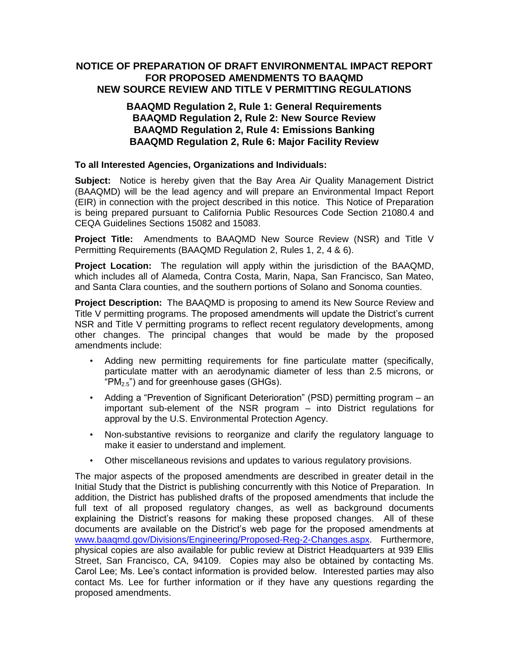## **NOTICE OF PREPARATION OF DRAFT ENVIRONMENTAL IMPACT REPORT FOR PROPOSED AMENDMENTS TO BAAQMD NEW SOURCE REVIEW AND TITLE V PERMITTING REGULATIONS**

## **BAAQMD Regulation 2, Rule 1: General Requirements BAAQMD Regulation 2, Rule 2: New Source Review BAAQMD Regulation 2, Rule 4: Emissions Banking BAAQMD Regulation 2, Rule 6: Major Facility Review**

## **To all Interested Agencies, Organizations and Individuals:**

**Subject:** Notice is hereby given that the Bay Area Air Quality Management District (BAAQMD) will be the lead agency and will prepare an Environmental Impact Report (EIR) in connection with the project described in this notice. This Notice of Preparation is being prepared pursuant to California Public Resources Code Section 21080.4 and CEQA Guidelines Sections 15082 and 15083.

**Project Title:** Amendments to BAAQMD New Source Review (NSR) and Title V Permitting Requirements (BAAQMD Regulation 2, Rules 1, 2, 4 & 6).

**Project Location:** The regulation will apply within the jurisdiction of the BAAQMD, which includes all of Alameda, Contra Costa, Marin, Napa, San Francisco, San Mateo, and Santa Clara counties, and the southern portions of Solano and Sonoma counties.

**Project Description:** The BAAQMD is proposing to amend its New Source Review and Title V permitting programs. The proposed amendments will update the District's current NSR and Title V permitting programs to reflect recent regulatory developments, among other changes. The principal changes that would be made by the proposed amendments include:

- Adding new permitting requirements for fine particulate matter (specifically, particulate matter with an aerodynamic diameter of less than 2.5 microns, or "PM<sub>2.5</sub>") and for greenhouse gases (GHGs).
- Adding a "Prevention of Significant Deterioration" (PSD) permitting program an important sub-element of the NSR program – into District regulations for approval by the U.S. Environmental Protection Agency.
- Non-substantive revisions to reorganize and clarify the regulatory language to make it easier to understand and implement.
- Other miscellaneous revisions and updates to various regulatory provisions.

The major aspects of the proposed amendments are described in greater detail in the Initial Study that the District is publishing concurrently with this Notice of Preparation. In addition, the District has published drafts of the proposed amendments that include the full text of all proposed regulatory changes, as well as background documents explaining the District's reasons for making these proposed changes. All of these documents are available on the District's web page for the proposed amendments at [www.baaqmd.gov/Divisions/Engineering/Proposed-Reg-2-Changes.aspx.](http://www.baaqmd.gov/Divisions/Engineering/Proposed-Reg-2-Changes.aspx) Furthermore, physical copies are also available for public review at District Headquarters at 939 Ellis Street, San Francisco, CA, 94109. Copies may also be obtained by contacting Ms. Carol Lee; Ms. Lee's contact information is provided below. Interested parties may also contact Ms. Lee for further information or if they have any questions regarding the proposed amendments.